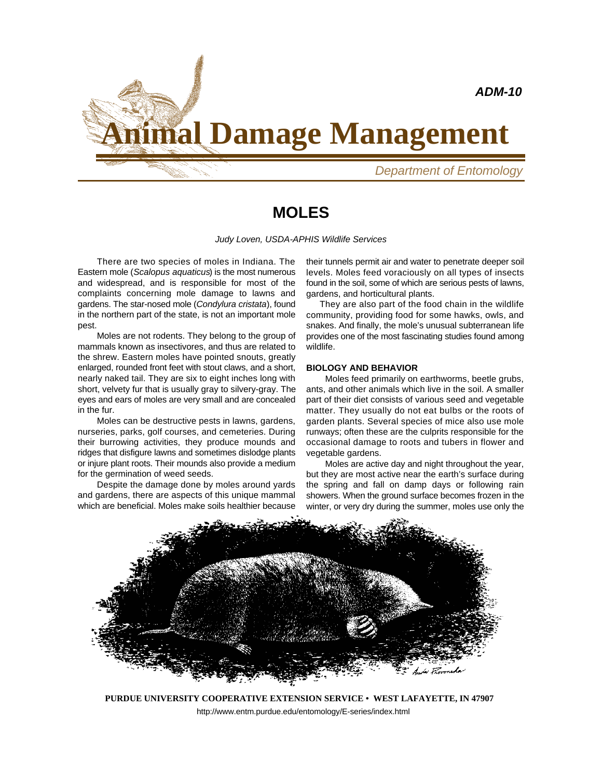

# **Animal Damage Management**

*Department of Entomology*

## **MOLES**

*Judy Loven, USDA-APHIS Wildlife Services*

There are two species of moles in Indiana. The Eastern mole (*Scalopus aquaticus*) is the most numerous and widespread, and is responsible for most of the complaints concerning mole damage to lawns and gardens. The star-nosed mole (*Condylura cristata*), found in the northern part of the state, is not an important mole pest.

Moles are not rodents. They belong to the group of mammals known as insectivores, and thus are related to the shrew. Eastern moles have pointed snouts, greatly enlarged, rounded front feet with stout claws, and a short, nearly naked tail. They are six to eight inches long with short, velvety fur that is usually gray to silvery-gray. The eyes and ears of moles are very small and are concealed in the fur.

Moles can be destructive pests in lawns, gardens, nurseries, parks, golf courses, and cemeteries. During their burrowing activities, they produce mounds and ridges that disfigure lawns and sometimes dislodge plants or injure plant roots. Their mounds also provide a medium for the germination of weed seeds.

Despite the damage done by moles around yards and gardens, there are aspects of this unique mammal which are beneficial. Moles make soils healthier because

their tunnels permit air and water to penetrate deeper soil levels. Moles feed voraciously on all types of insects found in the soil, some of which are serious pests of lawns, gardens, and horticultural plants.

 They are also part of the food chain in the wildlife community, providing food for some hawks, owls, and snakes. And finally, the mole's unusual subterranean life provides one of the most fascinating studies found among wildlife.

#### **BIOLOGY AND BEHAVIOR**

Moles feed primarily on earthworms, beetle grubs, ants, and other animals which live in the soil. A smaller part of their diet consists of various seed and vegetable matter. They usually do not eat bulbs or the roots of garden plants. Several species of mice also use mole runways; often these are the culprits responsible for the occasional damage to roots and tubers in flower and vegetable gardens.

Moles are active day and night throughout the year, but they are most active near the earth's surface during the spring and fall on damp days or following rain showers. When the ground surface becomes frozen in the winter, or very dry during the summer, moles use only the



**PURDUE UNIVERSITY COOPERATIVE EXTENSION SERVICE • WEST LAFAYETTE, IN 47907** http://www.entm.purdue.edu/entomology/E-series/index.html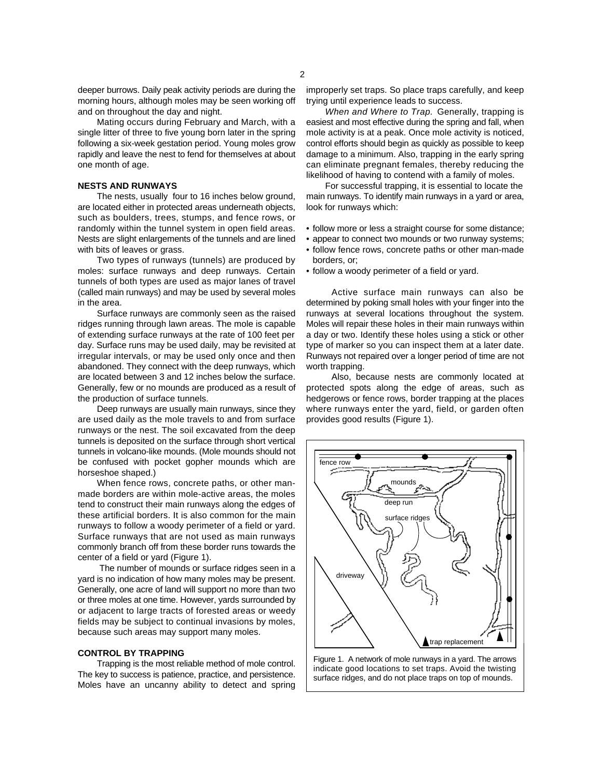deeper burrows. Daily peak activity periods are during the morning hours, although moles may be seen working off and on throughout the day and night.

Mating occurs during February and March, with a single litter of three to five young born later in the spring following a six-week gestation period. Young moles grow rapidly and leave the nest to fend for themselves at about one month of age.

#### **NESTS AND RUNWAYS**

The nests, usually four to 16 inches below ground, are located either in protected areas underneath objects, such as boulders, trees, stumps, and fence rows, or randomly within the tunnel system in open field areas. Nests are slight enlargements of the tunnels and are lined with bits of leaves or grass.

Two types of runways (tunnels) are produced by moles: surface runways and deep runways. Certain tunnels of both types are used as major lanes of travel (called main runways) and may be used by several moles in the area.

Surface runways are commonly seen as the raised ridges running through lawn areas. The mole is capable of extending surface runways at the rate of 100 feet per day. Surface runs may be used daily, may be revisited at irregular intervals, or may be used only once and then abandoned. They connect with the deep runways, which are located between 3 and 12 inches below the surface. Generally, few or no mounds are produced as a result of the production of surface tunnels.

Deep runways are usually main runways, since they are used daily as the mole travels to and from surface runways or the nest. The soil excavated from the deep tunnels is deposited on the surface through short vertical tunnels in volcano-like mounds. (Mole mounds should not be confused with pocket gopher mounds which are horseshoe shaped.)

When fence rows, concrete paths, or other manmade borders are within mole-active areas, the moles tend to construct their main runways along the edges of these artificial borders. It is also common for the main runways to follow a woody perimeter of a field or yard. Surface runways that are not used as main runways commonly branch off from these border runs towards the center of a field or yard (Figure 1).

 The number of mounds or surface ridges seen in a yard is no indication of how many moles may be present. Generally, one acre of land will support no more than two or three moles at one time. However, yards surrounded by or adjacent to large tracts of forested areas or weedy fields may be subject to continual invasions by moles, because such areas may support many moles.

#### **CONTROL BY TRAPPING**

Trapping is the most reliable method of mole control. The key to success is patience, practice, and persistence. Moles have an uncanny ability to detect and spring

improperly set traps. So place traps carefully, and keep trying until experience leads to success.

*When and Where to Trap.* Generally, trapping is easiest and most effective during the spring and fall, when mole activity is at a peak. Once mole activity is noticed, control efforts should begin as quickly as possible to keep damage to a minimum. Also, trapping in the early spring can eliminate pregnant females, thereby reducing the likelihood of having to contend with a family of moles.

For successful trapping, it is essential to locate the main runways. To identify main runways in a yard or area, look for runways which:

- follow more or less a straight course for some distance;
- appear to connect two mounds or two runway systems;
- follow fence rows, concrete paths or other man-made borders, or;
- follow a woody perimeter of a field or yard.

Active surface main runways can also be determined by poking small holes with your finger into the runways at several locations throughout the system. Moles will repair these holes in their main runways within a day or two. Identify these holes using a stick or other type of marker so you can inspect them at a later date. Runways not repaired over a longer period of time are not worth trapping.

Also, because nests are commonly located at protected spots along the edge of areas, such as hedgerows or fence rows, border trapping at the places where runways enter the yard, field, or garden often provides good results (Figure 1).



Figure 1. A network of mole runways in a yard. The arrows indicate good locations to set traps. Avoid the twisting surface ridges, and do not place traps on top of mounds.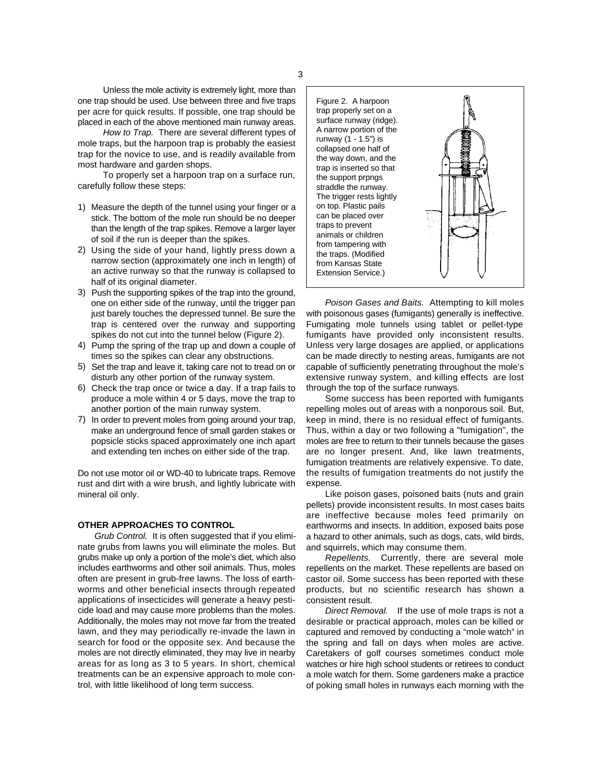Unless the mole activity is extremely light, more than one trap should be used. Use between three and five traps per acre for quick results. If possible, one trap should be placed in each of the above mentioned main runway areas.

*How to Trap.* There are several different types of mole traps, but the harpoon trap is probably the easiest trap for the novice to use, and is readily available from most hardware and garden shops.

To properly set a harpoon trap on a surface run, carefully follow these steps:

- 1) Measure the depth of the tunnel using your finger or a stick. The bottom of the mole run should be no deeper than the length of the trap spikes. Remove a larger layer of soil if the run is deeper than the spikes.
- 2) Using the side of your hand, lightly press down a narrow section (approximately one inch in length) of an active runway so that the runway is collapsed to half of its original diameter.
- 3) Push the supporting spikes of the trap into the ground, one on either side of the runway, until the trigger pan just barely touches the depressed tunnel. Be sure the trap is centered over the runway and supporting spikes do not cut into the tunnel below (Figure 2).
- 4) Pump the spring of the trap up and down a couple of times so the spikes can clear any obstructions.
- 5) Set the trap and leave it, taking care not to tread on or disturb any other portion of the runway system.
- 6) Check the trap once or twice a day. If a trap fails to produce a mole within 4 or 5 days, move the trap to another portion of the main runway system.
- 7) In order to prevent moles from going around your trap, make an underground fence of small garden stakes or popsicle sticks spaced approximately one inch apart and extending ten inches on either side of the trap.

Do not use motor oil or WD-40 to lubricate traps. Remove rust and dirt with a wire brush, and lightly lubricate with mineral oil only.

### **OTHER APPROACHES TO CONTROL**

*Grub Control.* It is often suggested that if you eliminate grubs from lawns you will eliminate the moles. But grubs make up only a portion of the mole's diet, which also includes earthworms and other soil animals. Thus, moles often are present in grub-free lawns. The loss of earthworms and other beneficial insects through repeated applications of insecticides will generate a heavy pesticide load and may cause more problems than the moles. Additionally, the moles may not move far from the treated lawn, and they may periodically re-invade the lawn in search for food or the opposite sex. And because the moles are not directly eliminated, they may live in nearby areas for as long as 3 to 5 years. In short, chemical treatments can be an expensive approach to mole control, with little likelihood of long term success.



*Poison Gases and Baits.* Attempting to kill moles with poisonous gases (fumigants) generally is ineffective. Fumigating mole tunnels using tablet or pellet-type fumigants have provided only inconsistent results. Unless very large dosages are applied, or applications can be made directly to nesting areas, fumigants are not capable of sufficiently penetrating throughout the mole's extensive runway system, and killing effects are lost through the top of the surface runways.

Some success has been reported with fumigants repelling moles out of areas with a nonporous soil. But, keep in mind, there is no residual effect of fumigants. Thus, within a day or two following a "fumigation", the moles are free to return to their tunnels because the gases are no longer present. And, like lawn treatments, fumigation treatments are relatively expensive. To date, the results of fumigation treatments do not justify the expense.

Like poison gases, poisoned baits (nuts and grain pellets) provide inconsistent results. In most cases baits are ineffective because moles feed primarily on earthworms and insects. In addition, exposed baits pose a hazard to other animals, such as dogs, cats, wild birds, and squirrels, which may consume them.

*Repellents.* Currently, there are several mole repellents on the market. These repellents are based on castor oil. Some success has been reported with these products, but no scientific research has shown a consistent result.

*Direct Removal.* If the use of mole traps is not a desirable or practical approach, moles can be killed or captured and removed by conducting a "mole watch" in the spring and fall on days when moles are active. Caretakers of golf courses sometimes conduct mole watches or hire high school students or retirees to conduct a mole watch for them. Some gardeners make a practice of poking small holes in runways each morning with the